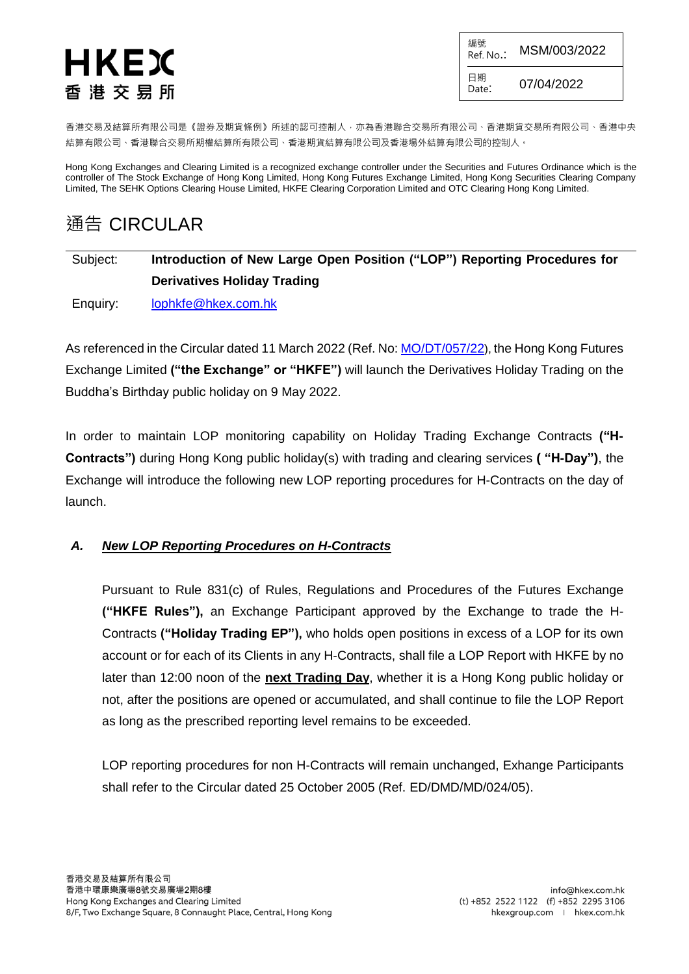# HKEX 香 港 交 易 所

編號 Ref. No.: MSM/003/2022 日期 Date: 07/04/2022

香港交易及結算所有限公司是《證券及期貨條例》所述的認可控制人,亦為香港聯合交易所有限公司、香港期貨交易所有限公司、香港中央 結算有限公司、香港聯合交易所期權結算所有限公司、香港期貨結算有限公司及香港場外結算有限公司的控制人。

Hong Kong Exchanges and Clearing Limited is a recognized exchange controller under the Securities and Futures Ordinance which is the controller of The Stock Exchange of Hong Kong Limited, Hong Kong Futures Exchange Limited, Hong Kong Securities Clearing Company Limited, The SEHK Options Clearing House Limited, HKFE Clearing Corporation Limited and OTC Clearing Hong Kong Limited.

# 通告 CIRCULAR

## Subject: **Introduction of New Large Open Position ("LOP") Reporting Procedures for Derivatives Holiday Trading**

Enquiry: [lophkfe@hkex.com.hk](mailto:lophkfe@hkex.com.hk)

As referenced in the Circular dated 11 March 2022 (Ref. No: [MO/DT/057/22](https://www.hkex.com.hk/-/media/HKEX-Market/Services/Circulars-and-Notices/Participant-and-Members-Circulars/HKFE/2022/MO_DT_057_22_e.pdf)), the Hong Kong Futures Exchange Limited **("the Exchange" or "HKFE")** will launch the Derivatives Holiday Trading on the Buddha's Birthday public holiday on 9 May 2022.

In order to maintain LOP monitoring capability on Holiday Trading Exchange Contracts **("H-Contracts")** during Hong Kong public holiday(s) with trading and clearing services **( "H-Day")**, the Exchange will introduce the following new LOP reporting procedures for H-Contracts on the day of launch.

#### *A. New LOP Reporting Procedures on H-Contracts*

Pursuant to Rule 831(c) of Rules, Regulations and Procedures of the Futures Exchange **("HKFE Rules"),** an Exchange Participant approved by the Exchange to trade the H-Contracts **("Holiday Trading EP"),** who holds open positions in excess of a LOP for its own account or for each of its Clients in any H-Contracts, shall file a LOP Report with HKFE by no later than 12:00 noon of the **next Trading Day**, whether it is a Hong Kong public holiday or not, after the positions are opened or accumulated, and shall continue to file the LOP Report as long as the prescribed reporting level remains to be exceeded.

LOP reporting procedures for non H-Contracts will remain unchanged, Exhange Participants shall refer to the Circular dated 25 October 2005 (Ref. ED/DMD/MD/024/05).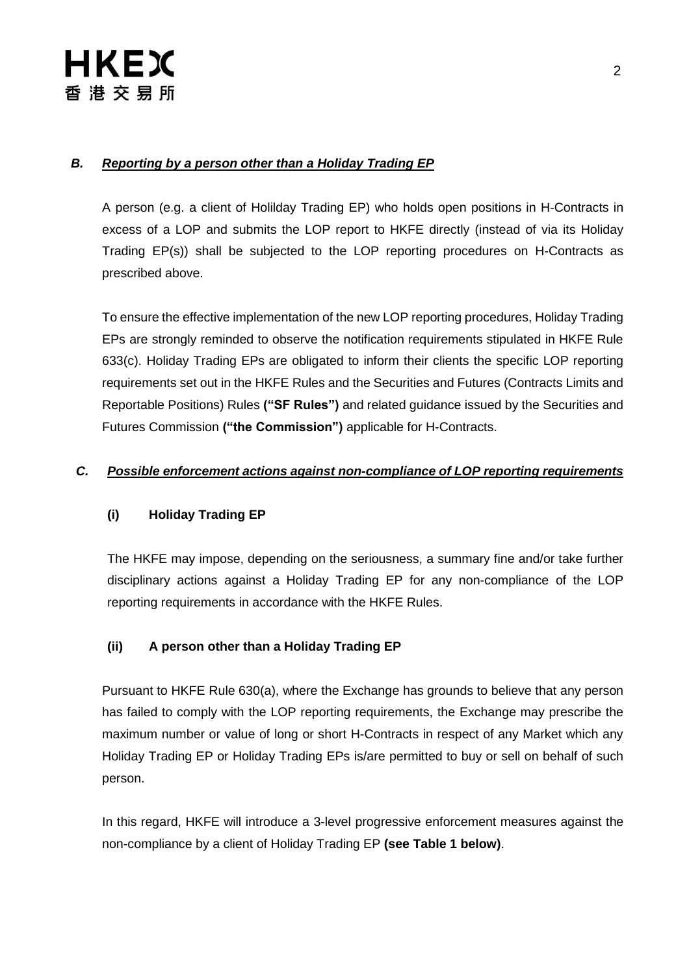#### *B. Reporting by a person other than a Holiday Trading EP*

A person (e.g. a client of Holilday Trading EP) who holds open positions in H-Contracts in excess of a LOP and submits the LOP report to HKFE directly (instead of via its Holiday Trading EP(s)) shall be subjected to the LOP reporting procedures on H-Contracts as prescribed above.

To ensure the effective implementation of the new LOP reporting procedures, Holiday Trading EPs are strongly reminded to observe the notification requirements stipulated in HKFE Rule 633(c). Holiday Trading EPs are obligated to inform their clients the specific LOP reporting requirements set out in the HKFE Rules and the Securities and Futures (Contracts Limits and Reportable Positions) Rules **("SF Rules")** and related guidance issued by the Securities and Futures Commission **("the Commission")** applicable for H-Contracts.

#### *C. Possible enforcement actions against non-compliance of LOP reporting requirements*

#### **(i) Holiday Trading EP**

The HKFE may impose, depending on the seriousness, a summary fine and/or take further disciplinary actions against a Holiday Trading EP for any non-compliance of the LOP reporting requirements in accordance with the HKFE Rules.

#### **(ii) A person other than a Holiday Trading EP**

Pursuant to HKFE Rule 630(a), where the Exchange has grounds to believe that any person has failed to comply with the LOP reporting requirements, the Exchange may prescribe the maximum number or value of long or short H-Contracts in respect of any Market which any Holiday Trading EP or Holiday Trading EPs is/are permitted to buy or sell on behalf of such person.

In this regard, HKFE will introduce a 3-level progressive enforcement measures against the non-compliance by a client of Holiday Trading EP **(see Table 1 below)**.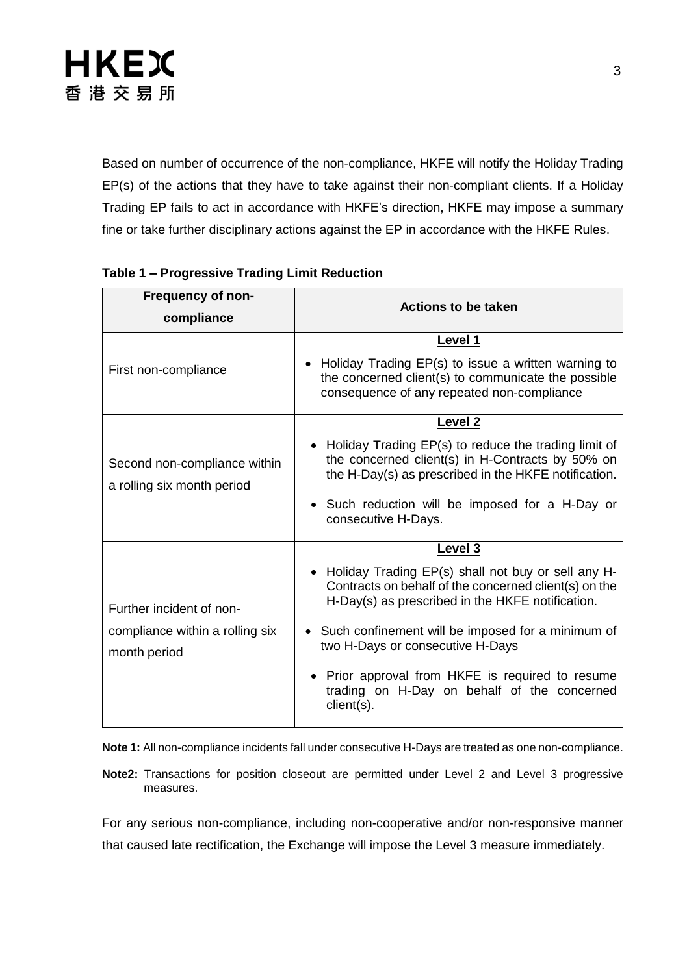Based on number of occurrence of the non-compliance, HKFE will notify the Holiday Trading EP(s) of the actions that they have to take against their non-compliant clients. If a Holiday Trading EP fails to act in accordance with HKFE's direction, HKFE may impose a summary fine or take further disciplinary actions against the EP in accordance with the HKFE Rules.

| <b>Frequency of non-</b>                                                    |                                                                                                                                                                                                                                                                                                                                                                                      |
|-----------------------------------------------------------------------------|--------------------------------------------------------------------------------------------------------------------------------------------------------------------------------------------------------------------------------------------------------------------------------------------------------------------------------------------------------------------------------------|
| compliance                                                                  | <b>Actions to be taken</b>                                                                                                                                                                                                                                                                                                                                                           |
| First non-compliance                                                        | Level 1<br>Holiday Trading EP(s) to issue a written warning to<br>$\bullet$<br>the concerned client(s) to communicate the possible<br>consequence of any repeated non-compliance                                                                                                                                                                                                     |
| Second non-compliance within<br>a rolling six month period                  | Level 2<br>Holiday Trading EP(s) to reduce the trading limit of<br>the concerned client(s) in H-Contracts by 50% on<br>the H-Day(s) as prescribed in the HKFE notification.<br>• Such reduction will be imposed for a H-Day or<br>consecutive H-Days.                                                                                                                                |
| Further incident of non-<br>compliance within a rolling six<br>month period | Level 3<br>Holiday Trading EP(s) shall not buy or sell any H-<br>Contracts on behalf of the concerned client(s) on the<br>H-Day(s) as prescribed in the HKFE notification.<br>• Such confinement will be imposed for a minimum of<br>two H-Days or consecutive H-Days<br>Prior approval from HKFE is required to resume<br>trading on H-Day on behalf of the concerned<br>client(s). |

#### **Table 1 – Progressive Trading Limit Reduction**

**Note 1:** All non-compliance incidents fall under consecutive H-Days are treated as one non-compliance.

**Note2:** Transactions for position closeout are permitted under Level 2 and Level 3 progressive measures.

For any serious non-compliance, including non-cooperative and/or non-responsive manner that caused late rectification, the Exchange will impose the Level 3 measure immediately.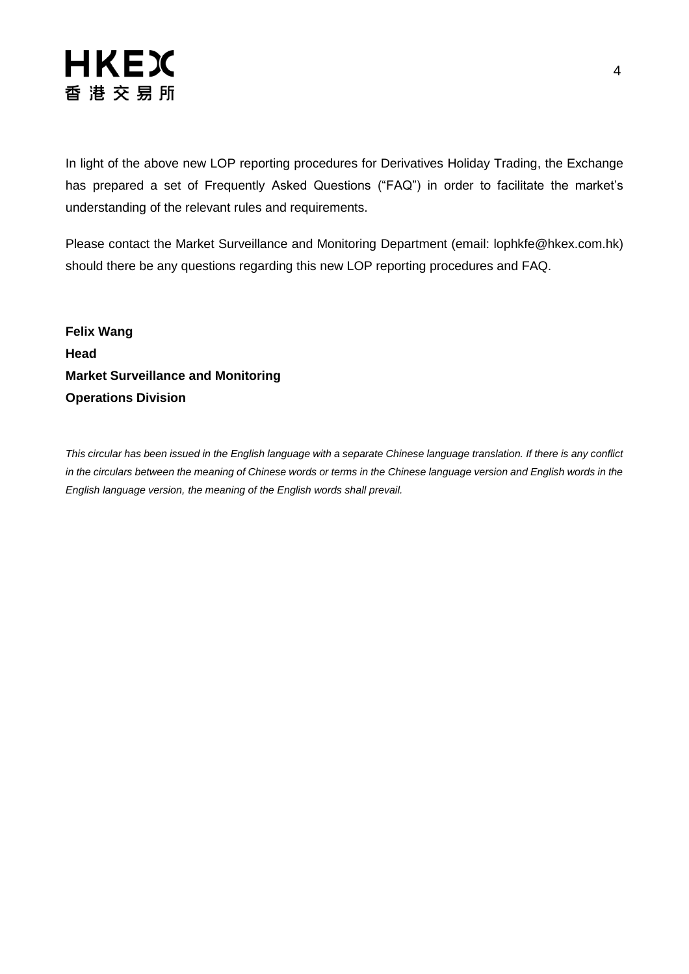

In light of the above new LOP reporting procedures for Derivatives Holiday Trading, the Exchange has prepared a set of Frequently Asked Questions ("FAQ") in order to facilitate the market's understanding of the relevant rules and requirements.

Please contact the Market Surveillance and Monitoring Department (email: [lophkfe@hkex.com.hk\)](mailto:lophkfe@hkex.com.hk) should there be any questions regarding this new LOP reporting procedures and FAQ.

**Felix Wang Head Market Surveillance and Monitoring Operations Division**

*This circular has been issued in the English language with a separate Chinese language translation. If there is any conflict in the circulars between the meaning of Chinese words or terms in the Chinese language version and English words in the English language version, the meaning of the English words shall prevail.*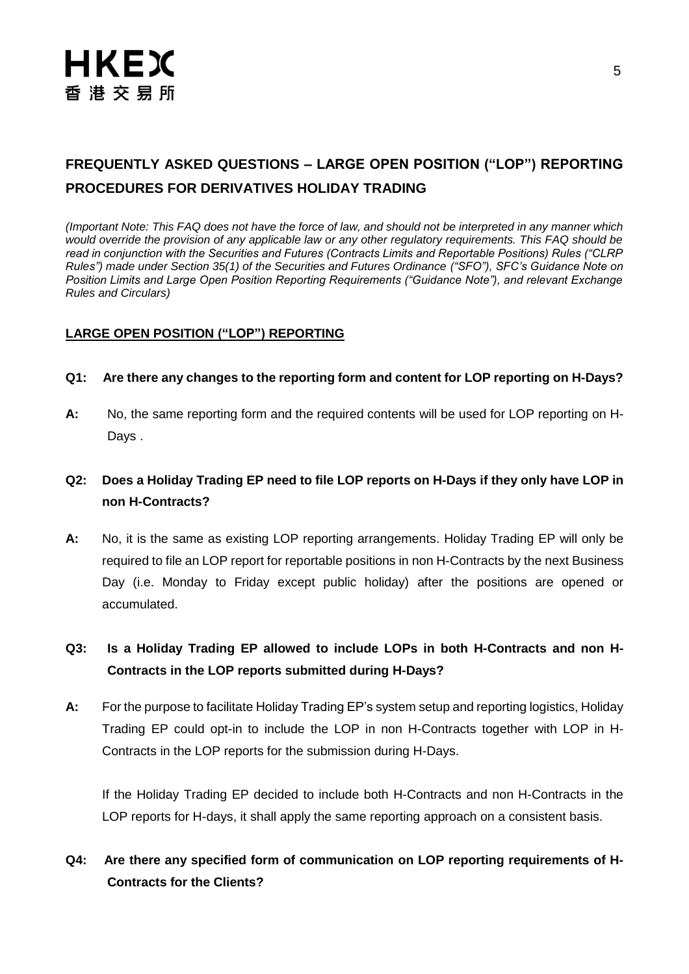### **FREQUENTLY ASKED QUESTIONS – LARGE OPEN POSITION ("LOP") REPORTING PROCEDURES FOR DERIVATIVES HOLIDAY TRADING**

*(Important Note: This FAQ does not have the force of law, and should not be interpreted in any manner which would override the provision of any applicable law or any other regulatory requirements. This FAQ should be read in conjunction with the Securities and Futures (Contracts Limits and Reportable Positions) Rules ("CLRP Rules") made under Section 35(1) of the Securities and Futures Ordinance ("SFO"), SFC's Guidance Note on Position Limits and Large Open Position Reporting Requirements ("Guidance Note"), and relevant Exchange Rules and Circulars)*

#### **LARGE OPEN POSITION ("LOP") REPORTING**

#### **Q1: Are there any changes to the reporting form and content for LOP reporting on H-Days?**

**A:** No, the same reporting form and the required contents will be used for LOP reporting on H-Days .

#### **Q2: Does a Holiday Trading EP need to file LOP reports on H-Days if they only have LOP in non H-Contracts?**

**A:** No, it is the same as existing LOP reporting arrangements. Holiday Trading EP will only be required to file an LOP report for reportable positions in non H-Contracts by the next Business Day (i.e. Monday to Friday except public holiday) after the positions are opened or accumulated.

#### **Q3: Is a Holiday Trading EP allowed to include LOPs in both H-Contracts and non H-Contracts in the LOP reports submitted during H-Days?**

**A:** For the purpose to facilitate Holiday Trading EP's system setup and reporting logistics, Holiday Trading EP could opt-in to include the LOP in non H-Contracts together with LOP in H-Contracts in the LOP reports for the submission during H-Days.

If the Holiday Trading EP decided to include both H-Contracts and non H-Contracts in the LOP reports for H-days, it shall apply the same reporting approach on a consistent basis.

#### **Q4: Are there any specified form of communication on LOP reporting requirements of H-Contracts for the Clients?**